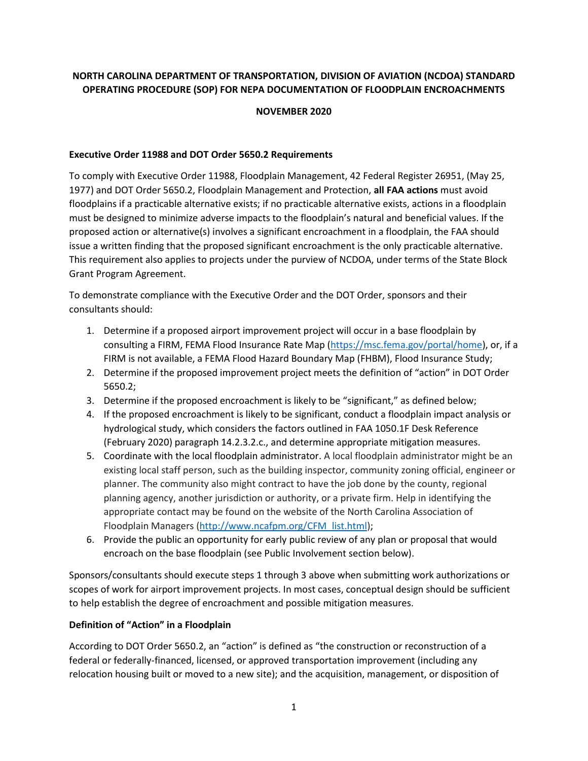# **NORTH CAROLINA DEPARTMENT OF TRANSPORTATION, DIVISION OF AVIATION (NCDOA) STANDARD OPERATING PROCEDURE (SOP) FOR NEPA DOCUMENTATION OF FLOODPLAIN ENCROACHMENTS**

### **NOVEMBER 2020**

### **Executive Order 11988 and DOT Order 5650.2 Requirements**

To comply with Executive Order 11988, Floodplain Management, 42 Federal Register 26951, (May 25, 1977) and DOT Order 5650.2, Floodplain Management and Protection, **all FAA actions** must avoid floodplains if a practicable alternative exists; if no practicable alternative exists, actions in a floodplain must be designed to minimize adverse impacts to the floodplain's natural and beneficial values. If the proposed action or alternative(s) involves a significant encroachment in a floodplain, the FAA should issue a written finding that the proposed significant encroachment is the only practicable alternative. This requirement also applies to projects under the purview of NCDOA, under terms of the State Block Grant Program Agreement.

To demonstrate compliance with the Executive Order and the DOT Order, sponsors and their consultants should:

- 1. Determine if a proposed airport improvement project will occur in a base floodplain by consulting a FIRM, FEMA Flood Insurance Rate Map [\(https://msc.fema.gov/portal/home\)](https://msc.fema.gov/portal/home), or, if a FIRM is not available, a FEMA Flood Hazard Boundary Map (FHBM), Flood Insurance Study;
- 2. Determine if the proposed improvement project meets the definition of "action" in DOT Order 5650.2;
- 3. Determine if the proposed encroachment is likely to be "significant," as defined below;
- 4. If the proposed encroachment is likely to be significant, conduct a floodplain impact analysis or hydrological study, which considers the factors outlined in FAA 1050.1F Desk Reference (February 2020) paragraph 14.2.3.2.c., and determine appropriate mitigation measures.
- 5. Coordinate with the local floodplain administrator. A local floodplain administrator might be an existing local staff person, such as the building inspector, community zoning official, engineer or planner. The community also might contract to have the job done by the county, regional planning agency, another jurisdiction or authority, or a private firm. Help in identifying the appropriate contact may be found on the website of the North Carolina Association of Floodplain Managers [\(http://www.ncafpm.org/CFM\\_list.html\)](http://www.ncafpm.org/CFM_list.html);
- 6. Provide the public an opportunity for early public review of any plan or proposal that would encroach on the base floodplain (see Public Involvement section below).

Sponsors/consultants should execute steps 1 through 3 above when submitting work authorizations or scopes of work for airport improvement projects. In most cases, conceptual design should be sufficient to help establish the degree of encroachment and possible mitigation measures.

## **Definition of "Action" in a Floodplain**

According to DOT Order 5650.2, an "action" is defined as "the construction or reconstruction of a federal or federally-financed, licensed, or approved transportation improvement (including any relocation housing built or moved to a new site); and the acquisition, management, or disposition of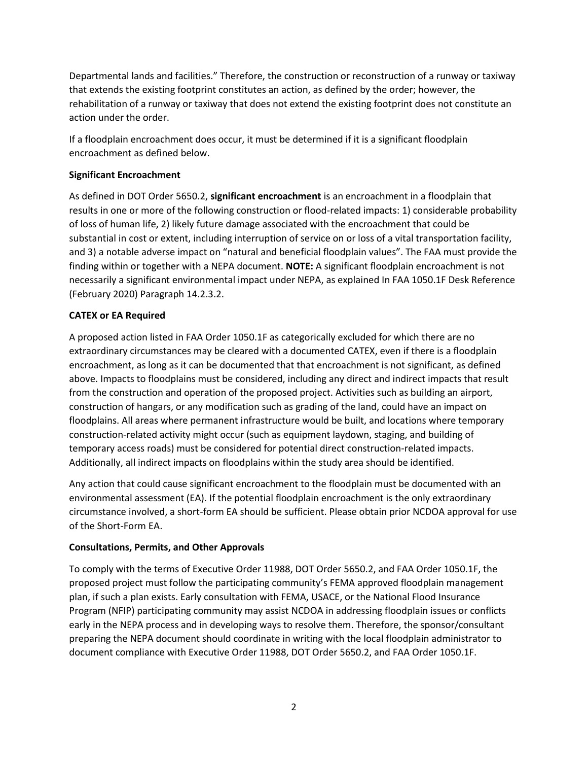Departmental lands and facilities." Therefore, the construction or reconstruction of a runway or taxiway that extends the existing footprint constitutes an action, as defined by the order; however, the rehabilitation of a runway or taxiway that does not extend the existing footprint does not constitute an action under the order.

If a floodplain encroachment does occur, it must be determined if it is a significant floodplain encroachment as defined below.

### **Significant Encroachment**

As defined in DOT Order 5650.2, **significant encroachment** is an encroachment in a floodplain that results in one or more of the following construction or flood-related impacts: 1) considerable probability of loss of human life, 2) likely future damage associated with the encroachment that could be substantial in cost or extent, including interruption of service on or loss of a vital transportation facility, and 3) a notable adverse impact on "natural and beneficial floodplain values". The FAA must provide the finding within or together with a NEPA document. **NOTE:** A significant floodplain encroachment is not necessarily a significant environmental impact under NEPA, as explained In FAA 1050.1F Desk Reference (February 2020) Paragraph 14.2.3.2.

### **CATEX or EA Required**

A proposed action listed in FAA Order 1050.1F as categorically excluded for which there are no extraordinary circumstances may be cleared with a documented CATEX, even if there is a floodplain encroachment, as long as it can be documented that that encroachment is not significant, as defined above. Impacts to floodplains must be considered, including any direct and indirect impacts that result from the construction and operation of the proposed project. Activities such as building an airport, construction of hangars, or any modification such as grading of the land, could have an impact on floodplains. All areas where permanent infrastructure would be built, and locations where temporary construction-related activity might occur (such as equipment laydown, staging, and building of temporary access roads) must be considered for potential direct construction-related impacts. Additionally, all indirect impacts on floodplains within the study area should be identified.

Any action that could cause significant encroachment to the floodplain must be documented with an environmental assessment (EA). If the potential floodplain encroachment is the only extraordinary circumstance involved, a short-form EA should be sufficient. Please obtain prior NCDOA approval for use of the Short-Form EA.

#### **Consultations, Permits, and Other Approvals**

To comply with the terms of Executive Order 11988, DOT Order 5650.2, and FAA Order 1050.1F, the proposed project must follow the participating community's FEMA approved floodplain management plan, if such a plan exists. Early consultation with FEMA, USACE, or the National Flood Insurance Program (NFIP) participating community may assist NCDOA in addressing floodplain issues or conflicts early in the NEPA process and in developing ways to resolve them. Therefore, the sponsor/consultant preparing the NEPA document should coordinate in writing with the local floodplain administrator to document compliance with Executive Order 11988, DOT Order 5650.2, and FAA Order 1050.1F.